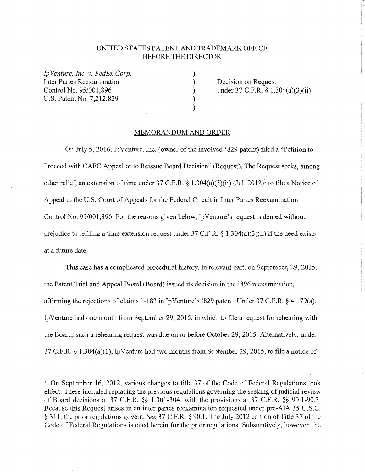## UNITED STATES PATENT AND TRADEMARK OFFICE BEFORE THE DIRECTOR

) ) ) ) )

*Ip Venture, Inc. v. FedEx Corp.*  Inter Partes Reexamination Control No. 95/001,896 U.S. Patent No. 7,212,829

Decision on Request under 37 C.F.R. § 1.304(a)(3)(ii)

## MEMORANDUM AND ORDER

On July 5, 2016, Ip Venture, Inc. (owner of the involved '829 patent) filed a "Petition to Proceed with CAFC Appeal or to Reissue Board Decision" (Request). The Request seeks, among other relief, an extension of time under 37 C.F.R. § 1.304(a)(3)(ii) (Jul. 2012)<sup>1</sup> to file a Notice of Appeal to the U.S. Court of Appeals for the Federal Circuit in Inter Partes Reexamination Control No. 95/001,896. For the reasons given below, IpVenture's request is denied without prejudice to refiling a time-extension request under  $37 \text{ C.F.R.}$  § 1.304(a)(3)(ii) if the need exists at a future date.

This case has a complicated procedural history. In relevant part, on September, 29, 2015, the Patent Trial and Appeal Board (Board) issued its decision in the '896 reexamination, affirming the rejections of claims 1-183 in IpVenture's '829 patent. Under 37 C.F.R. § 41.79(a), Ip Venture had one month from September 29, 2015, in which to file a request for rehearing with the Board; such a rehearing request was due on or before October 29, 2015. Alternatively, under 37 C.F.R. § 1.304(a)(l), Ip Venture had two months from September 29, 2015, to file a notice of

<sup>&</sup>lt;sup>1</sup> On September 16, 2012, various changes to title 37 of the Code of Federal Regulations took effect. These included replacing the previous regulations governing the seeking of judicial review of Board decisions at 37 C.F.R. §§ 1.301-304, with the provisions at 37 C.F.R. §§ 90.1-90.3. Because this Request arises in an inter partes reexamination requested under pre-AJA 35 U.S.C. § 311, the prior regulations govern. *See* 37 C.F.R. § 90.1. The July 2012 edition of Title 37 of the Code of Federal Regulations is cited herein for the prior regulations. Substantively, however, the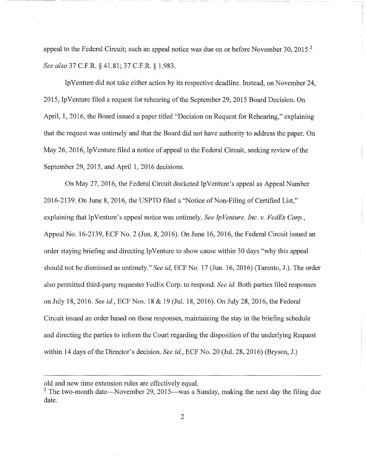appeal to the Federal Circuit; such an appeal notice was due on or before November 30, 2015.<sup>2</sup> *See also* 37 C.F.R. § 41.81; 37 C.F.R. § 1.983.

Ip Venture did not take either action by its respective deadline. Instead, on November 24, 2015, Ip Venture filed a request for rehearing of the September 29, 2015 Board Decision. On April, 1, 2016, the Board issued a paper titled "Decision on Request for Rehearing," explaining that the request was untimely and that the Board did not have authority to address the paper. On May 26, 2016, Ip Venture filed a notice of appeal to the Federal Circuit, seeking review of the September 29, 2015, and April 1, 2016 decisions.

On May 27, 2016, the Federal Circuit docketed IpVenture's appeal as Appeal Number 2016-2139. On June 8, 2016, the USPTO filed a "Notice of Non-Filing of Certified List," explaining that Ip Venture's appeal notice was untimely. *See Ip Venture, Inc. v. FedEx Corp.*, Appeal No. 16-2139, ECF No. 2 (Jun. 8, 2016). On June 16, 2016, the Federal Circuit issued an order staying briefing and directing Ip Venture to show cause within 30 days "why this appeal should not be dismissed as untimely." *See id,* ECF No. 17 (Jun. 16, 2016) (Taranto, J.). The order also permitted third-party requester FedEx Corp. to respond. *See id.* Both parties filed responses on July 18, 2016. *See id.,* ECF Nos. 18 & 19 (Jul. 18, 2016). On July 28, 2016, the Federal Circuit issued an order based on those responses, maintaining the stay in the briefing schedule and directing the parties to inform the Court regarding the disposition of the underlying Request within 14 days of the Director's decision. *See id.,* ECF No. 20 (Jul. 28, 2016) (Bryson, J.)

old and new time extension rules are effectively equal.

 $2$  The two-month date—November 29, 2015—was a Sunday, making the next day the filing due date.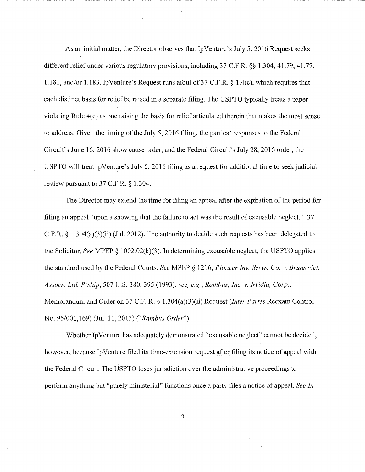As an initial matter, the Director observes that IpVenture's July 5, 2016 Request seeks different relief under various regulatory provisions, including 37 C.F.R. §§ 1.304, 41.79, 41.77, 1.181, and/or 1.183. IpVenture's Request runs afoul of 37 C.F.R. § 1.4(c), which requires that each distinct basis for relief be raised in a separate filing. The USPTO typically treats a paper violating Rule 4(c) as one raising the basis for relief articulated therein that makes the most sense to address. Given the timing of the July 5, 2016 filing, the parties' responses to the Federal Circuit's June 16, 2016 show cause order, and the Federal Circuit's July 28, 2016 order, the USPTO will treat IpVenture's July 5, 2016 filing as a request for additional time to seek judicial review pursuant to 37 C.F.R. § 1.304.

The Director may extend the time for filing an appeal after the expiration of the period for filing an appeal "upon a showing that the failure to act was the result *ot* excusable neglect." 37 C.F.R. § l .304(a)(3)(ii) (Jul. 2012). The authority to decide such requests has been delegated to the Solicitor. *See* MPEP § 1002.02(k)(3). In determining excusable neglect, the USPTO applies the standard used by the Federal Courts. *See* MPEP § 1216; *Pioneer Inv. Servs. Co. v. Brunswick Assocs. Ltd. P'ship,* 507 U.S. 380,395 (1993); *see, e.g., Rambus, Inc. v. Nvidia, Corp.,*  Memorandum and Order on 37 C.F. R. § 1.304(a)(3)(ii) Request *(Inter Partes* Reexam Control No. 95/001,169) (Jul. 11, 2013) *("Rambus Order").* 

Whether Ip Venture has adequately demonstrated "excusable neglect" cannot be decided, however, because Ip Venture filed its time-extension request after filing its notice of appeal with the Federal Circuit. The USPTO loses jurisdiction over the administrative proceedings to perform anything but "purely ministerial" functions once a party files a notice of appeal. *See In* 

3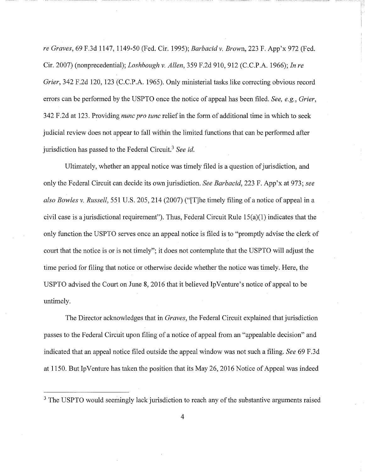*re Graves,* 69 F.3d 1147, 1149-50 (Fed. Cir. 1995); *Barbacid v. Brown,* 223 F. App'x 972 (Fed. Cir. 2007) (nonprecedential); *Loshbaugh v. Allen,* 359 F.2d 910, 912 (C.C.P.A. 1966); *In re Grier,* 342 F.2d 120, 123 (C.C.P.A. 1965). Only ministerial tasks like correcting obvious record errors can be performed by the USPTO once the notice of appeal has been filed. *See, e.g., Grier,*  342 F.2d at 123. Providing *nunc pro tune* relief in the form of additional time in which to seek judicial review does not appear to fall within the limited functions that can be performed after jurisdiction has passed to the Federal Circuit.<sup>3</sup>*See id.* 

Ultimately, whether an appeal notice was timely filed is a question of jurisdiction, and only the Federal Circuit can decide its own jurisdiction. *See Barbacid,* 223 F. App'x at 973; *see also Bowles v. Russell,* 551 U.S. 205,214 (2007) ("[T]he timely filing of a notice of appeal in a civil case is a jurisdictional requirement"). Thus, Federal Circuit Rule 15(a)(l) indicates that the only function the USPTO serves once an appeal notice is filed is to "promptly advise the clerk of court that the notice is or is not timely"; it does not contemplate that the USPTO will adjust the time period for filing that notice or otherwise decide whether the notice was timely. Here, the USPTO advised the Court on June 8, 2016 that it believed IpVenture's notice of appeal to be untimely.

The Director acknowledges that in *Graves,* the Federal Circuit explained that jurisdiction passes to the Federal Circuit upon filing of a notice of appeal from an "appealable decision" and indicated that an appeal notice filed outside the appeal window was not such a filing. *See* 69 F.3d at 1150. But Ip Venture has taken the position that its May 26, 2016 Notice of Appeal was indeed

<sup>&</sup>lt;sup>3</sup> The USPTO would seemingly lack jurisdiction to reach any of the substantive arguments raised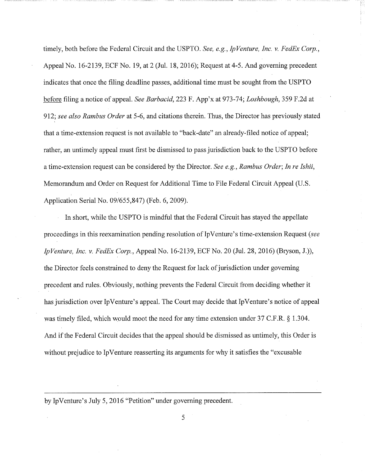timely, both before the Federal Circuit and the USPTO. *See, e.g., Ip Venture, Inc. v. FedEx Corp.,*  Appeal No. 16-2139, ECF No. 19, at 2 (Jul. 18, 2016); Request at 4-5. And governing precedent indicates that once the filing deadline passes, additional time must be sought from the USPTO before filing a notice of appeal. *See Barbacid,* 223 F. App'x at 973-74; *Loshbaugh,* 359 F.2d at 912; *see also Rambus Order* at 5-6, and citations therein. Thus, the Director has previously stated that a time-extension request is not available to "back-date" an already-filed notice of appeal; rather, an untimely appeal must first be dismissed to pass jurisdiction back to the USPTO before a time-extension request can be considered by the Director. *See e.g., Rambus Order; In re Ishii,*  Memorandum and Order on Request for Additional Time to File Federal Circuit Appeal (U.S. Application Serial No. 09/655,847) (Feb. 6, 2009).

In short, while the USPTO is mindful that the Federal Circuit has stayed the appellate proceedings in this reexamination pending resolution of Ip Venture' s time-extension Request *(see Ip Venture, Inc. v. FedEx Corp.,* Appeal No. 16-2139, ECF No. 20 **(Jul.** 28, 2016) (Bryson, J.)), the Director feels constrained to deny the Request for lack of jurisdiction under governing precedent and rules. Obviously, nothing prevents the Federal Circuit from deciding whether it has jurisdiction over Ip Venture's appeal. The Court may decide that Ip Venture's notice of appeal was timely filed, which would moot the need for any time extension under 37 C.F.R. § 1.304. And if the Federal Circuit decides that the appeal should be dismissed as untimely, this Order is without prejudice to Ip Venture reasserting its arguments for why it satisfies the "excusable"

by IpVenture's July 5, 2016 "Petition" under governing precedent.